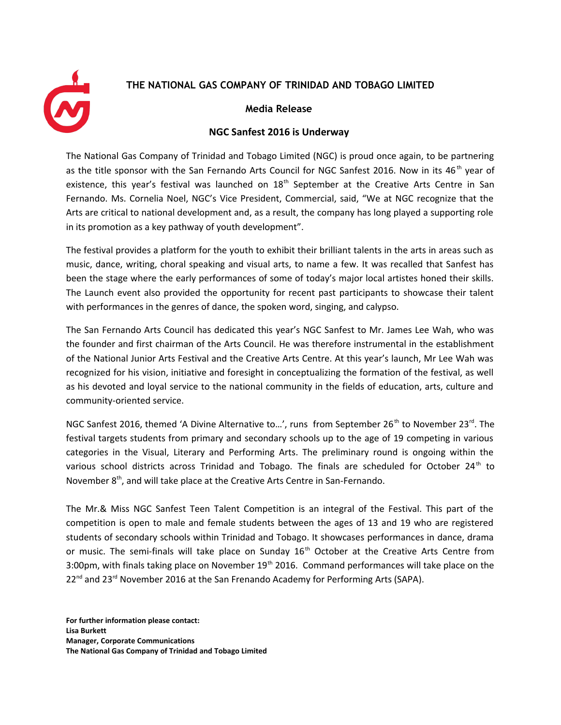## **THE NATIONAL GAS COMPANY OF TRINIDAD AND TOBAGO LIMITED**



## **Media Release**

## **NGC Sanfest 2016 is Underway**

The National Gas Company of Trinidad and Tobago Limited (NGC) is proud once again, to be partnering as the title sponsor with the San Fernando Arts Council for NGC Sanfest 2016. Now in its  $46<sup>th</sup>$  year of existence, this year's festival was launched on 18<sup>th</sup> September at the Creative Arts Centre in San Fernando. Ms. Cornelia Noel, NGC's Vice President, Commercial, said, "We at NGC recognize that the Arts are critical to national development and, as a result, the company has long played a supporting role in its promotion as a key pathway of youth development".

The festival provides a platform for the youth to exhibit their brilliant talents in the arts in areas such as music, dance, writing, choral speaking and visual arts, to name a few. It was recalled that Sanfest has been the stage where the early performances of some of today's major local artistes honed their skills. The Launch event also provided the opportunity for recent past participants to showcase their talent with performances in the genres of dance, the spoken word, singing, and calypso.

The San Fernando Arts Council has dedicated this year's NGC Sanfest to Mr. James Lee Wah, who was the founder and first chairman of the Arts Council. He was therefore instrumental in the establishment of the National Junior Arts Festival and the Creative Arts Centre. At this year's launch, Mr Lee Wah was recognized for his vision, initiative and foresight in conceptualizing the formation of the festival, as well as his devoted and loyal service to the national community in the fields of education, arts, culture and community-oriented service.

NGC Sanfest 2016, themed 'A Divine Alternative to...', runs from September 26<sup>th</sup> to November 23<sup>rd</sup>. The festival targets students from primary and secondary schools up to the age of 19 competing in various categories in the Visual, Literary and Performing Arts. The preliminary round is ongoing within the various school districts across Trinidad and Tobago. The finals are scheduled for October  $24<sup>th</sup>$  to November 8<sup>th</sup>, and will take place at the Creative Arts Centre in San-Fernando.

The Mr.& Miss NGC Sanfest Teen Talent Competition is an integral of the Festival. This part of the competition is open to male and female students between the ages of 13 and 19 who are registered students of secondary schools within Trinidad and Tobago. It showcases performances in dance, drama or music. The semi-finals will take place on Sunday 16<sup>th</sup> October at the Creative Arts Centre from 3:00pm, with finals taking place on November 19<sup>th</sup> 2016. Command performances will take place on the 22<sup>nd</sup> and 23<sup>rd</sup> November 2016 at the San Frenando Academy for Performing Arts (SAPA).

**For further information please contact: Lisa Burkett Manager, Corporate Communications The National Gas Company of Trinidad and Tobago Limited**